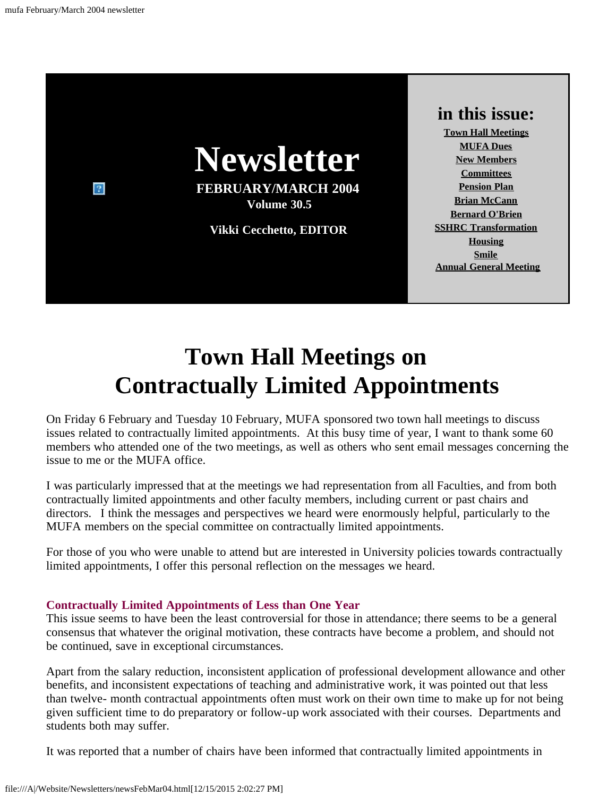

# **Town Hall Meetings on Contractually Limited Appointments**

<span id="page-0-0"></span>On Friday 6 February and Tuesday 10 February, MUFA sponsored two town hall meetings to discuss issues related to contractually limited appointments. At this busy time of year, I want to thank some 60 members who attended one of the two meetings, as well as others who sent email messages concerning the issue to me or the MUFA office.

I was particularly impressed that at the meetings we had representation from all Faculties, and from both contractually limited appointments and other faculty members, including current or past chairs and directors. I think the messages and perspectives we heard were enormously helpful, particularly to the MUFA members on the special committee on contractually limited appointments.

For those of you who were unable to attend but are interested in University policies towards contractually limited appointments, I offer this personal reflection on the messages we heard.

### **Contractually Limited Appointments of Less than One Year**

This issue seems to have been the least controversial for those in attendance; there seems to be a general consensus that whatever the original motivation, these contracts have become a problem, and should not be continued, save in exceptional circumstances.

Apart from the salary reduction, inconsistent application of professional development allowance and other benefits, and inconsistent expectations of teaching and administrative work, it was pointed out that less than twelve- month contractual appointments often must work on their own time to make up for not being given sufficient time to do preparatory or follow-up work associated with their courses. Departments and students both may suffer.

It was reported that a number of chairs have been informed that contractually limited appointments in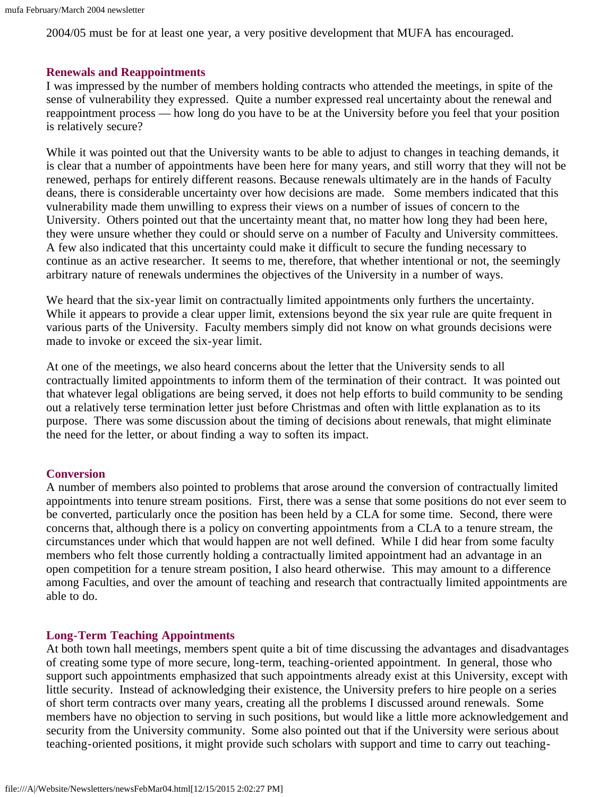2004/05 must be for at least one year, a very positive development that MUFA has encouraged.

### **Renewals and Reappointments**

I was impressed by the number of members holding contracts who attended the meetings, in spite of the sense of vulnerability they expressed. Quite a number expressed real uncertainty about the renewal and reappointment process — how long do you have to be at the University before you feel that your position is relatively secure?

While it was pointed out that the University wants to be able to adjust to changes in teaching demands, it is clear that a number of appointments have been here for many years, and still worry that they will not be renewed, perhaps for entirely different reasons. Because renewals ultimately are in the hands of Faculty deans, there is considerable uncertainty over how decisions are made. Some members indicated that this vulnerability made them unwilling to express their views on a number of issues of concern to the University. Others pointed out that the uncertainty meant that, no matter how long they had been here, they were unsure whether they could or should serve on a number of Faculty and University committees. A few also indicated that this uncertainty could make it difficult to secure the funding necessary to continue as an active researcher. It seems to me, therefore, that whether intentional or not, the seemingly arbitrary nature of renewals undermines the objectives of the University in a number of ways.

We heard that the six-year limit on contractually limited appointments only furthers the uncertainty. While it appears to provide a clear upper limit, extensions beyond the six year rule are quite frequent in various parts of the University. Faculty members simply did not know on what grounds decisions were made to invoke or exceed the six-year limit.

At one of the meetings, we also heard concerns about the letter that the University sends to all contractually limited appointments to inform them of the termination of their contract. It was pointed out that whatever legal obligations are being served, it does not help efforts to build community to be sending out a relatively terse termination letter just before Christmas and often with little explanation as to its purpose. There was some discussion about the timing of decisions about renewals, that might eliminate the need for the letter, or about finding a way to soften its impact.

### **Conversion**

A number of members also pointed to problems that arose around the conversion of contractually limited appointments into tenure stream positions. First, there was a sense that some positions do not ever seem to be converted, particularly once the position has been held by a CLA for some time. Second, there were concerns that, although there is a policy on converting appointments from a CLA to a tenure stream, the circumstances under which that would happen are not well defined. While I did hear from some faculty members who felt those currently holding a contractually limited appointment had an advantage in an open competition for a tenure stream position, I also heard otherwise. This may amount to a difference among Faculties, and over the amount of teaching and research that contractually limited appointments are able to do.

### **Long-Term Teaching Appointments**

At both town hall meetings, members spent quite a bit of time discussing the advantages and disadvantages of creating some type of more secure, long-term, teaching-oriented appointment. In general, those who support such appointments emphasized that such appointments already exist at this University, except with little security. Instead of acknowledging their existence, the University prefers to hire people on a series of short term contracts over many years, creating all the problems I discussed around renewals. Some members have no objection to serving in such positions, but would like a little more acknowledgement and security from the University community. Some also pointed out that if the University were serious about teaching-oriented positions, it might provide such scholars with support and time to carry out teaching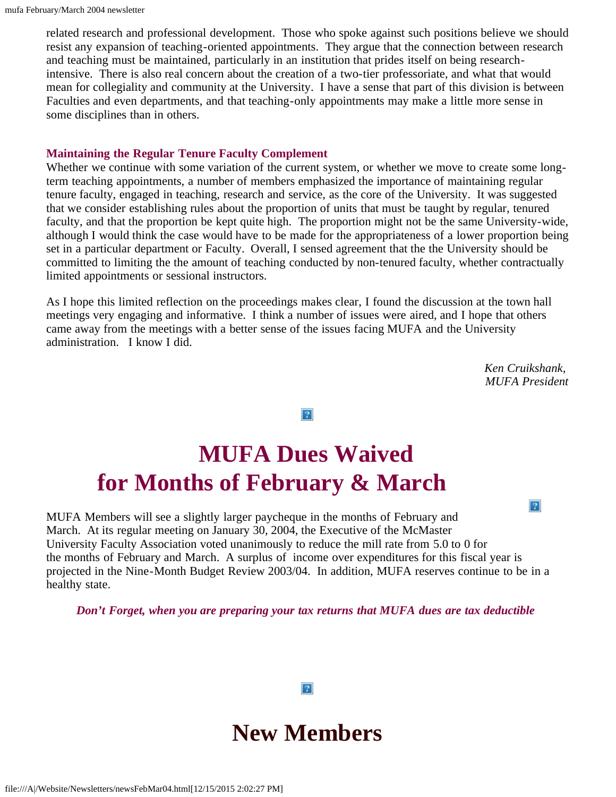related research and professional development. Those who spoke against such positions believe we should resist any expansion of teaching-oriented appointments. They argue that the connection between research and teaching must be maintained, particularly in an institution that prides itself on being researchintensive. There is also real concern about the creation of a two-tier professoriate, and what that would mean for collegiality and community at the University. I have a sense that part of this division is between Faculties and even departments, and that teaching-only appointments may make a little more sense in some disciplines than in others.

### **Maintaining the Regular Tenure Faculty Complement**

Whether we continue with some variation of the current system, or whether we move to create some longterm teaching appointments, a number of members emphasized the importance of maintaining regular tenure faculty, engaged in teaching, research and service, as the core of the University. It was suggested that we consider establishing rules about the proportion of units that must be taught by regular, tenured faculty, and that the proportion be kept quite high. The proportion might not be the same University-wide, although I would think the case would have to be made for the appropriateness of a lower proportion being set in a particular department or Faculty. Overall, I sensed agreement that the the University should be committed to limiting the the amount of teaching conducted by non-tenured faculty, whether contractually limited appointments or sessional instructors.

As I hope this limited reflection on the proceedings makes clear, I found the discussion at the town hall meetings very engaging and informative. I think a number of issues were aired, and I hope that others came away from the meetings with a better sense of the issues facing MUFA and the University administration. I know I did.

> *Ken Cruikshank, MUFA President*

> > $|2|$

 $\overline{?}$ 

# <span id="page-2-0"></span>**MUFA Dues Waived for Months of February & March**

MUFA Members will see a slightly larger paycheque in the months of February and March. At its regular meeting on January 30, 2004, the Executive of the McMaster University Faculty Association voted unanimously to reduce the mill rate from 5.0 to 0 for the months of February and March. A surplus of income over expenditures for this fiscal year is projected in the Nine-Month Budget Review 2003/04. In addition, MUFA reserves continue to be in a healthy state.

<span id="page-2-1"></span>*Don't Forget, when you are preparing your tax returns that MUFA dues are tax deductible*



 $|2|$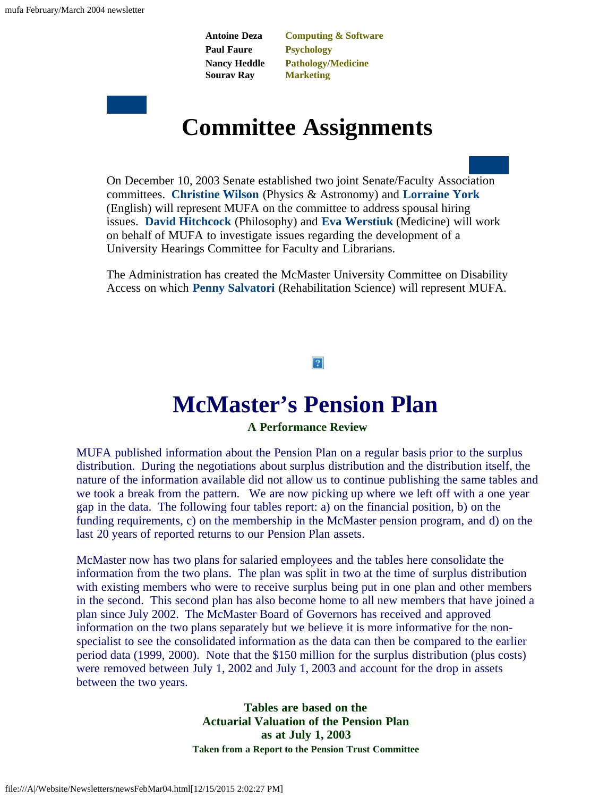**Antoine Deza Paul Faure Nancy Heddle Sourav Ray**

**Computing & Software Psychology Pathology/Medicine Marketing**

## **Committee Assignments**

<span id="page-3-0"></span>On December 10, 2003 Senate established two joint Senate/Faculty Association committees. **Christine Wilson** (Physics & Astronomy) and **Lorraine York** (English) will represent MUFA on the committee to address spousal hiring issues. **David Hitchcock** (Philosophy) and **Eva Werstiuk** (Medicine) will work on behalf of MUFA to investigate issues regarding the development of a University Hearings Committee for Faculty and Librarians.

The Administration has created the McMaster University Committee on Disability Access on which **Penny Salvatori** (Rehabilitation Science) will represent MUFA.

### $|2|$

### **McMaster's Pension Plan**

### **A Performance Review**

<span id="page-3-1"></span>MUFA published information about the Pension Plan on a regular basis prior to the surplus distribution. During the negotiations about surplus distribution and the distribution itself, the nature of the information available did not allow us to continue publishing the same tables and we took a break from the pattern. We are now picking up where we left off with a one year gap in the data. The following four tables report: a) on the financial position, b) on the funding requirements, c) on the membership in the McMaster pension program, and d) on the last 20 years of reported returns to our Pension Plan assets.

McMaster now has two plans for salaried employees and the tables here consolidate the information from the two plans. The plan was split in two at the time of surplus distribution with existing members who were to receive surplus being put in one plan and other members in the second. This second plan has also become home to all new members that have joined a plan since July 2002. The McMaster Board of Governors has received and approved information on the two plans separately but we believe it is more informative for the nonspecialist to see the consolidated information as the data can then be compared to the earlier period data (1999, 2000). Note that the \$150 million for the surplus distribution (plus costs) were removed between July 1, 2002 and July 1, 2003 and account for the drop in assets between the two years.

> **Tables are based on the Actuarial Valuation of the Pension Plan as at July 1, 2003 Taken from a Report to the Pension Trust Committee**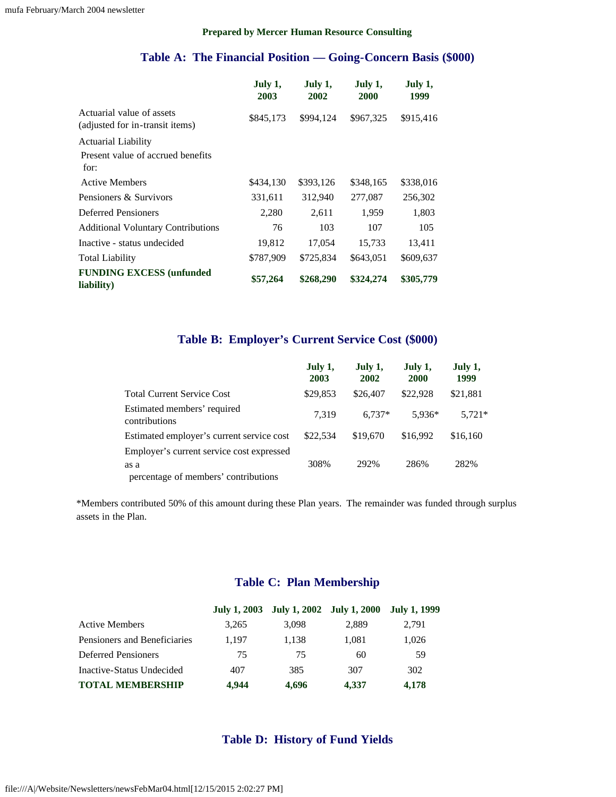#### **Prepared by Mercer Human Resource Consulting**

### **Table A: The Financial Position — Going-Concern Basis (\$000)**

|                                                              | July 1,<br>2003 | July 1,<br>2002 | July 1,<br>2000 | July 1,<br>1999 |
|--------------------------------------------------------------|-----------------|-----------------|-----------------|-----------------|
| Actuarial value of assets<br>(adjusted for in-transit items) | \$845,173       | \$994,124       | \$967,325       | \$915,416       |
| <b>Actuarial Liability</b>                                   |                 |                 |                 |                 |
| Present value of accrued benefits<br>for:                    |                 |                 |                 |                 |
| <b>Active Members</b>                                        | \$434,130       | \$393,126       | \$348,165       | \$338,016       |
| Pensioners & Survivors                                       | 331,611         | 312,940         | 277,087         | 256,302         |
| <b>Deferred Pensioners</b>                                   | 2,280           | 2,611           | 1,959           | 1,803           |
| <b>Additional Voluntary Contributions</b>                    | 76              | 103             | 107             | 105             |
| Inactive - status undecided                                  | 19,812          | 17,054          | 15,733          | 13,411          |
| Total Liability                                              | \$787,909       | \$725,834       | \$643,051       | \$609,637       |
| <b>FUNDING EXCESS (unfunded)</b><br>liability)               | \$57,264        | \$268,290       | \$324,274       | \$305,779       |

### **Table B: Employer's Current Service Cost (\$000)**

|                                              | July 1,<br>2003 | July 1,<br>2002 | July 1,<br><b>2000</b> | July 1,<br>1999 |
|----------------------------------------------|-----------------|-----------------|------------------------|-----------------|
| <b>Total Current Service Cost</b>            | \$29,853        | \$26,407        | \$22,928               | \$21,881        |
| Estimated members' required<br>contributions | 7.319           | $6.737*$        | 5.936*                 | $5.721*$        |
| Estimated employer's current service cost    | \$22,534        | \$19,670        | \$16,992               | \$16,160        |
| Employer's current service cost expressed    |                 |                 |                        |                 |
| as a                                         | 308%            | 292%            | 286%                   | 282%            |
| percentage of members' contributions         |                 |                 |                        |                 |

\*Members contributed 50% of this amount during these Plan years. The remainder was funded through surplus assets in the Plan.

### **Table C: Plan Membership**

|                              |       | July 1, 2003 July 1, 2002 July 1, 2000 July 1, 1999 |       |       |
|------------------------------|-------|-----------------------------------------------------|-------|-------|
| <b>Active Members</b>        | 3,265 | 3,098                                               | 2.889 | 2,791 |
| Pensioners and Beneficiaries | 1.197 | 1.138                                               | 1.081 | 1,026 |
| Deferred Pensioners          | 75    | 75                                                  | 60    | .59   |
| Inactive-Status Undecided    | 407   | 385                                                 | 307   | 302   |
| <b>TOTAL MEMBERSHIP</b>      | 4.944 | 4.696                                               | 4.337 | 4,178 |

### **Table D: History of Fund Yields**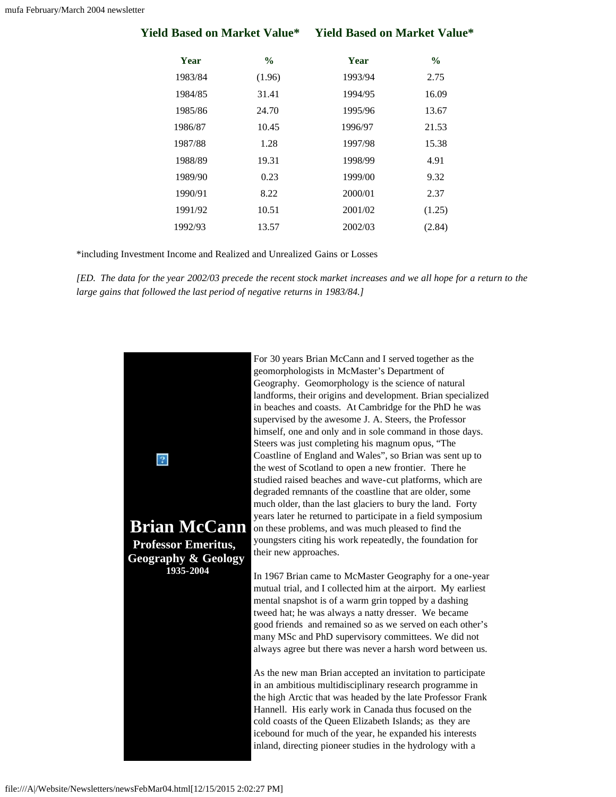| <b>Yield Based on Market Value*</b> |               | <b>Yield Based on Market Value*</b> |               |  |
|-------------------------------------|---------------|-------------------------------------|---------------|--|
| Year                                | $\frac{6}{9}$ | Year                                | $\frac{6}{9}$ |  |
| 1983/84                             | (1.96)        | 1993/94                             | 2.75          |  |
| 1984/85                             | 31.41         | 1994/95                             | 16.09         |  |
| 1985/86                             | 24.70         | 1995/96                             | 13.67         |  |
| 1986/87                             | 10.45         | 1996/97                             | 21.53         |  |
| 1987/88                             | 1.28          | 1997/98                             | 15.38         |  |
| 1988/89                             | 19.31         | 1998/99                             | 4.91          |  |
| 1989/90                             | 0.23          | 1999/00                             | 9.32          |  |
| 1990/91                             | 8.22          | 2000/01                             | 2.37          |  |
| 1991/92                             | 10.51         | 2001/02                             | (1.25)        |  |
| 1992/93                             | 13.57         | 2002/03                             | (2.84)        |  |

\*including Investment Income and Realized and Unrealized Gains or Losses

*[ED. The data for the year 2002/03 precede the recent stock market increases and we all hope for a return to the large gains that followed the last period of negative returns in 1983/84.]*

<span id="page-5-0"></span>

For 30 years Brian McCann and I served together as the geomorphologists in McMaster's Department of Geography. Geomorphology is the science of natural landforms, their origins and development. Brian specialized in beaches and coasts. At Cambridge for the PhD he was supervised by the awesome J. A. Steers, the Professor himself, one and only and in sole command in those days. Steers was just completing his magnum opus, "The Coastline of England and Wales", so Brian was sent up to the west of Scotland to open a new frontier. There he studied raised beaches and wave-cut platforms, which are degraded remnants of the coastline that are older, some much older, than the last glaciers to bury the land. Forty years later he returned to participate in a field symposium on these problems, and was much pleased to find the youngsters citing his work repeatedly, the foundation for their new approaches.

In 1967 Brian came to McMaster Geography for a one-year mutual trial, and I collected him at the airport. My earliest mental snapshot is of a warm grin topped by a dashing tweed hat; he was always a natty dresser. We became good friends and remained so as we served on each other's many MSc and PhD supervisory committees. We did not always agree but there was never a harsh word between us.

As the new man Brian accepted an invitation to participate in an ambitious multidisciplinary research programme in the high Arctic that was headed by the late Professor Frank Hannell. His early work in Canada thus focused on the cold coasts of the Queen Elizabeth Islands; as they are icebound for much of the year, he expanded his interests inland, directing pioneer studies in the hydrology with a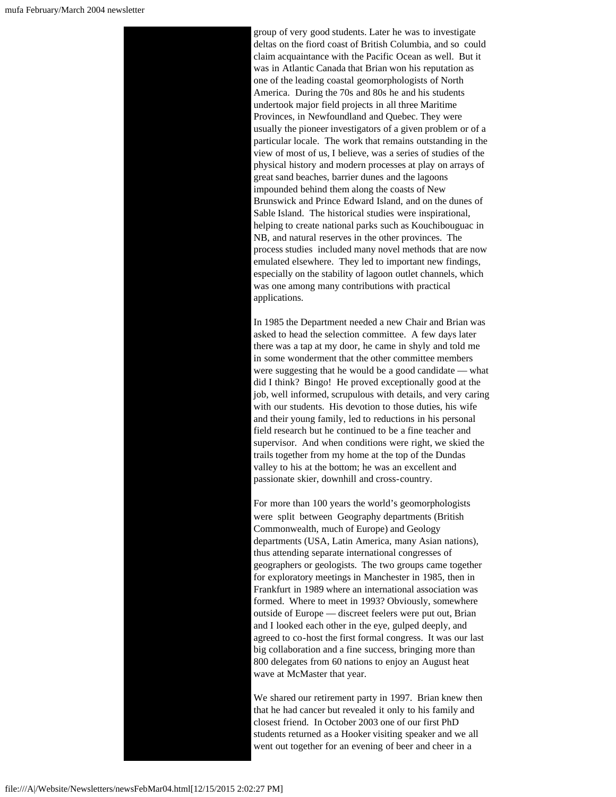

group of very good students. Later he was to investigate deltas on the fiord coast of British Columbia, and so could claim acquaintance with the Pacific Ocean as well. But it was in Atlantic Canada that Brian won his reputation as one of the leading coastal geomorphologists of North America. During the 70s and 80s he and his students undertook major field projects in all three Maritime Provinces, in Newfoundland and Quebec. They were usually the pioneer investigators of a given problem or of a particular locale. The work that remains outstanding in the view of most of us, I believe, was a series of studies of the physical history and modern processes at play on arrays of great sand beaches, barrier dunes and the lagoons impounded behind them along the coasts of New Brunswick and Prince Edward Island, and on the dunes of Sable Island. The historical studies were inspirational, helping to create national parks such as Kouchibouguac in NB, and natural reserves in the other provinces. The process studies included many novel methods that are now emulated elsewhere. They led to important new findings, especially on the stability of lagoon outlet channels, which was one among many contributions with practical applications.

In 1985 the Department needed a new Chair and Brian was asked to head the selection committee. A few days later there was a tap at my door, he came in shyly and told me in some wonderment that the other committee members were suggesting that he would be a good candidate — what did I think? Bingo! He proved exceptionally good at the job, well informed, scrupulous with details, and very caring with our students. His devotion to those duties, his wife and their young family, led to reductions in his personal field research but he continued to be a fine teacher and supervisor. And when conditions were right, we skied the trails together from my home at the top of the Dundas valley to his at the bottom; he was an excellent and passionate skier, downhill and cross-country.

For more than 100 years the world's geomorphologists were split between Geography departments (British Commonwealth, much of Europe) and Geology departments (USA, Latin America, many Asian nations), thus attending separate international congresses of geographers or geologists. The two groups came together for exploratory meetings in Manchester in 1985, then in Frankfurt in 1989 where an international association was formed. Where to meet in 1993? Obviously, somewhere outside of Europe — discreet feelers were put out, Brian and I looked each other in the eye, gulped deeply, and agreed to co-host the first formal congress. It was our last big collaboration and a fine success, bringing more than 800 delegates from 60 nations to enjoy an August heat wave at McMaster that year.

We shared our retirement party in 1997. Brian knew then that he had cancer but revealed it only to his family and closest friend. In October 2003 one of our first PhD students returned as a Hooker visiting speaker and we all went out together for an evening of beer and cheer in a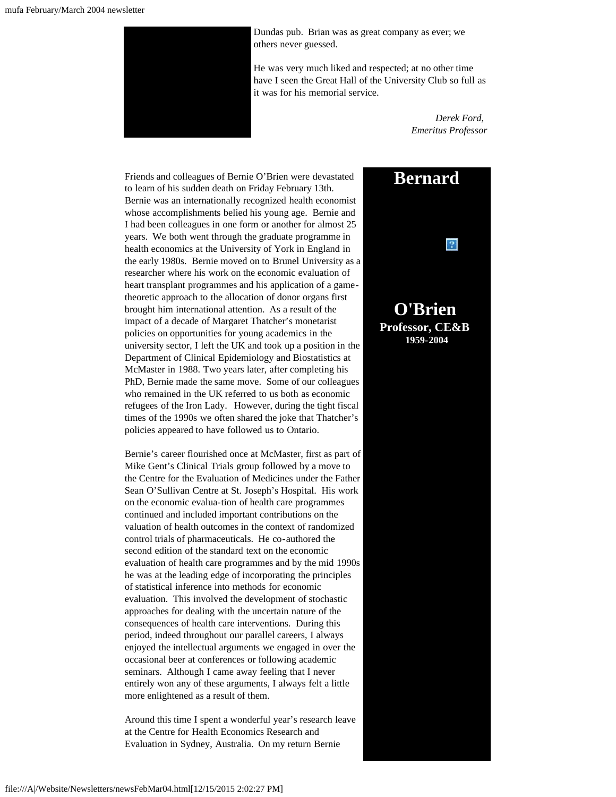

Dundas pub. Brian was as great company as ever; we others never guessed.

He was very much liked and respected; at no other time have I seen the Great Hall of the University Club so full as it was for his memorial service.

> *Derek Ford, Emeritus Professor*

<span id="page-7-0"></span>Friends and colleagues of Bernie O'Brien were devastated to learn of his sudden death on Friday February 13th. Bernie was an internationally recognized health economist whose accomplishments belied his young age. Bernie and I had been colleagues in one form or another for almost 25 years. We both went through the graduate programme in health economics at the University of York in England in the early 1980s. Bernie moved on to Brunel University as a researcher where his work on the economic evaluation of heart transplant programmes and his application of a gametheoretic approach to the allocation of donor organs first brought him international attention. As a result of the impact of a decade of Margaret Thatcher's monetarist policies on opportunities for young academics in the university sector, I left the UK and took up a position in the Department of Clinical Epidemiology and Biostatistics at McMaster in 1988. Two years later, after completing his PhD, Bernie made the same move. Some of our colleagues who remained in the UK referred to us both as economic refugees of the Iron Lady. However, during the tight fiscal times of the 1990s we often shared the joke that Thatcher's policies appeared to have followed us to Ontario.

Bernie's career flourished once at McMaster, first as part of Mike Gent's Clinical Trials group followed by a move to the Centre for the Evaluation of Medicines under the Father Sean O'Sullivan Centre at St. Joseph's Hospital. His work on the economic evalua-tion of health care programmes continued and included important contributions on the valuation of health outcomes in the context of randomized control trials of pharmaceuticals. He co-authored the second edition of the standard text on the economic evaluation of health care programmes and by the mid 1990s he was at the leading edge of incorporating the principles of statistical inference into methods for economic evaluation. This involved the development of stochastic approaches for dealing with the uncertain nature of the consequences of health care interventions. During this period, indeed throughout our parallel careers, I always enjoyed the intellectual arguments we engaged in over the occasional beer at conferences or following academic seminars. Although I came away feeling that I never entirely won any of these arguments, I always felt a little more enlightened as a result of them.

Around this time I spent a wonderful year's research leave at the Centre for Health Economics Research and Evaluation in Sydney, Australia. On my return Bernie

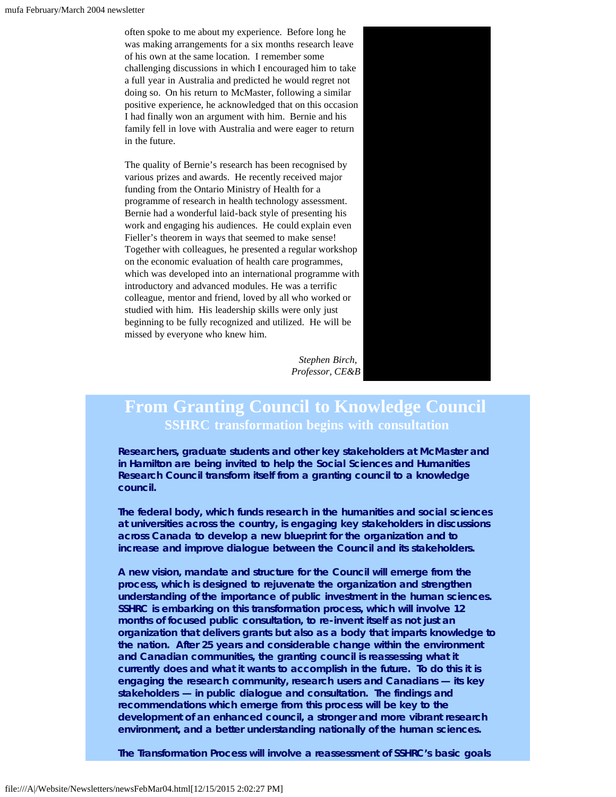often spoke to me about my experience. Before long he was making arrangements for a six months research leave of his own at the same location. I remember some challenging discussions in which I encouraged him to take a full year in Australia and predicted he would regret not doing so. On his return to McMaster, following a similar positive experience, he acknowledged that on this occasion I had finally won an argument with him. Bernie and his family fell in love with Australia and were eager to return in the future.

The quality of Bernie's research has been recognised by various prizes and awards. He recently received major funding from the Ontario Ministry of Health for a programme of research in health technology assessment. Bernie had a wonderful laid-back style of presenting his work and engaging his audiences. He could explain even Fieller's theorem in ways that seemed to make sense! Together with colleagues, he presented a regular workshop on the economic evaluation of health care programmes, which was developed into an international programme with introductory and advanced modules. He was a terrific colleague, mentor and friend, loved by all who worked or studied with him. His leadership skills were only just beginning to be fully recognized and utilized. He will be missed by everyone who knew him.

> *Stephen Birch, Professor, CE&B*

### <span id="page-8-0"></span>**From Granting Council to Knowledge Council SSHRC transformation begins with consultation**

**Researchers, graduate students and other key stakeholders at McMaster and in Hamilton are being invited to help the Social Sciences and Humanities Research Council transform itself from a granting council to a knowledge council.**

**The federal body, which funds research in the humanities and social sciences at universities across the country, is engaging key stakeholders in discussions across Canada to develop a new blueprint for the organization and to increase and improve dialogue between the Council and its stakeholders.**

**A new vision, mandate and structure for the Council will emerge from the process, which is designed to rejuvenate the organization and strengthen understanding of the importance of public investment in the human sciences. SSHRC is embarking on this transformation process, which will involve 12 months of focused public consultation, to re-invent itself as not just an organization that delivers grants but also as a body that imparts knowledge to the nation. After 25 years and considerable change within the environment and Canadian communities, the granting council is reassessing what it currently does and what it wants to accomplish in the future. To do this it is engaging the research community, research users and Canadians — its key stakeholders — in public dialogue and consultation. The findings and recommendations which emerge from this process will be key to the development of an enhanced council, a stronger and more vibrant research environment, and a better understanding nationally of the human sciences.**

**The Transformation Process will involve a reassessment of SSHRC's basic goals**

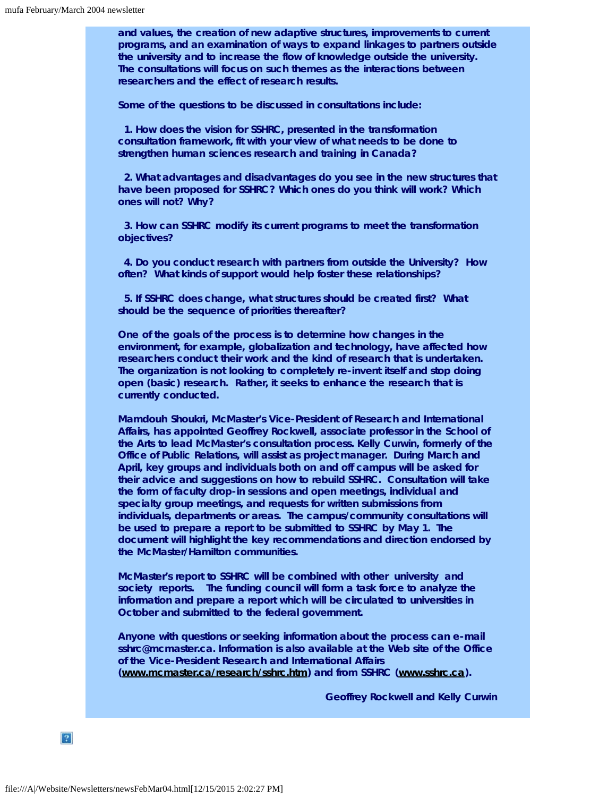**and values, the creation of new adaptive structures, improvements to current programs, and an examination of ways to expand linkages to partners outside the university and to increase the flow of knowledge outside the university. The consultations will focus on such themes as the interactions between researchers and the effect of research results.**

**Some of the questions to be discussed in consultations include:**

 **1. How does the vision for SSHRC, presented in the transformation consultation framework, fit with your view of what needs to be done to strengthen human sciences research and training in Canada?**

 **2. What advantages and disadvantages do you see in the new structures that have been proposed for SSHRC? Which ones do you think will work? Which ones will not? Why?**

 **3. How can SSHRC modify its current programs to meet the transformation objectives?**

 **4. Do you conduct research with partners from outside the University? How often? What kinds of support would help foster these relationships?**

 **5. If SSHRC does change, what structures should be created first? What should be the sequence of priorities thereafter?**

**One of the goals of the process is to determine how changes in the environment, for example, globalization and technology, have affected how researchers conduct their work and the kind of research that is undertaken. The organization is not looking to completely re-invent itself and stop doing open (basic) research. Rather, it seeks to enhance the research that is currently conducted.**

**Mamdouh Shoukri, McMaster's Vice-President of Research and International Affairs, has appointed Geoffrey Rockwell, associate professor in the School of the Arts to lead McMaster's consultation process. Kelly Curwin, formerly of the Office of Public Relations, will assist as project manager. During March and April, key groups and individuals both on and off campus will be asked for their advice and suggestions on how to rebuild SSHRC. Consultation will take the form of faculty drop-in sessions and open meetings, individual and specialty group meetings, and requests for written submissions from individuals, departments or areas. The campus/community consultations will be used to prepare a report to be submitted to SSHRC by May 1. The document will highlight the key recommendations and direction endorsed by the McMaster/Hamilton communities.**

**McMaster's report to SSHRC will be combined with other university and society reports. The funding council will form a task force to analyze the information and prepare a report which will be circulated to universities in October and submitted to the federal government.**

**Anyone with questions or seeking information about the process can e-mail sshrc@mcmaster.ca. Information is also available at the Web site of the Office of the Vice-President Research and International Affairs ([www.mcmaster.ca/research/sshrc.htm\)](http://www.mcmaster.ca/research/sshrc.htm) and from SSHRC [\(www.sshrc.ca](http://www.sshrc.ca/)).**

*Geoffrey Rockwell and Kelly Curwin*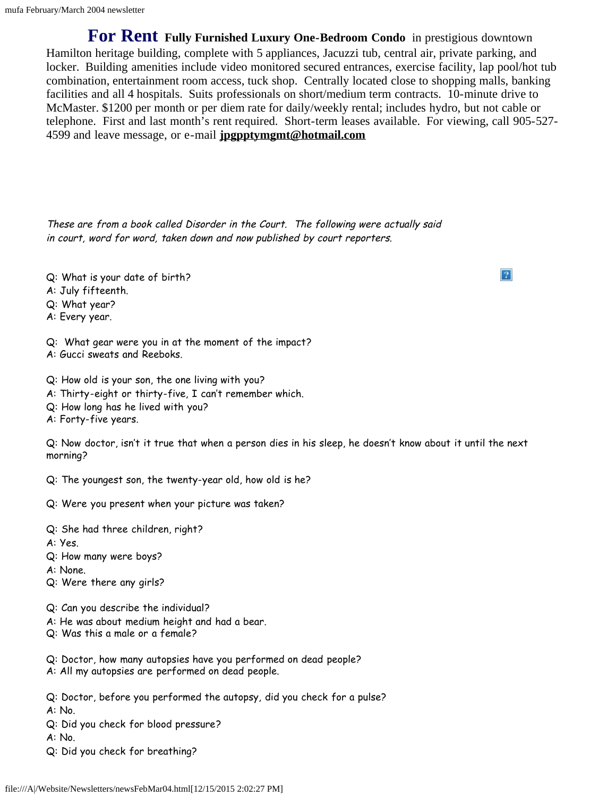<span id="page-10-0"></span>**For Rent Fully Furnished Luxury One-Bedroom Condo** in prestigious downtown Hamilton heritage building, complete with 5 appliances, Jacuzzi tub, central air, private parking, and locker. Building amenities include video monitored secured entrances, exercise facility, lap pool/hot tub combination, entertainment room access, tuck shop. Centrally located close to shopping malls, banking facilities and all 4 hospitals. Suits professionals on short/medium term contracts. 10-minute drive to McMaster. \$1200 per month or per diem rate for daily/weekly rental; includes hydro, but not cable or telephone. First and last month's rent required. Short-term leases available. For viewing, call 905-527- 4599 and leave message, or e-mail **[jpgpptymgmt@hotmail.com](mailto:jpgpptymgmt@hotmail.com)**

<span id="page-10-1"></span>These are from a book called Disorder in the Court. The following were actually said in court, word for word, taken down and now published by court reporters.

- Q: What is your date of birth?
- A: July fifteenth.
- Q: What year?
- A: Every year.
- Q: What gear were you in at the moment of the impact?
- A: Gucci sweats and Reeboks.
- Q: How old is your son, the one living with you?
- A: Thirty-eight or thirty-five, I can't remember which.
- Q: How long has he lived with you?
- A: Forty-five years.

Q: Now doctor, isn't it true that when a person dies in his sleep, he doesn't know about it until the next morning?

- Q: The youngest son, the twenty-year old, how old is he?
- Q: Were you present when your picture was taken?
- Q: She had three children, right?
- A: Yes.
- Q: How many were boys?
- A: None.
- Q: Were there any girls?
- Q: Can you describe the individual?
- A: He was about medium height and had a bear.
- Q: Was this a male or a female?
- Q: Doctor, how many autopsies have you performed on dead people?
- A: All my autopsies are performed on dead people.
- Q: Doctor, before you performed the autopsy, did you check for a pulse?
- A: No.
- Q: Did you check for blood pressure?
- A: No.
- Q: Did you check for breathing?

file:///A|/Website/Newsletters/newsFebMar04.html[12/15/2015 2:02:27 PM]

 $|2|$